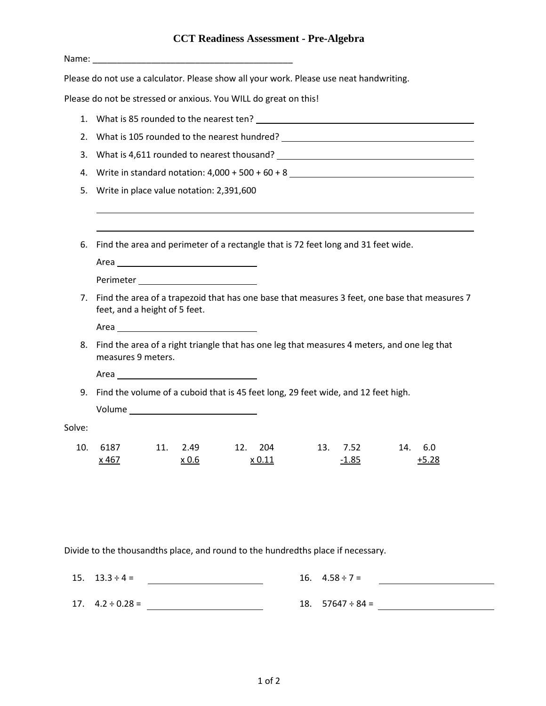## **CCT Readiness Assessment - Pre-Algebra**

|        | Name: Name and the second contract of the second contract of the second contract of the second contract of the second contract of the second contract of the second contract of the second contract of the second contract of    |  |  |
|--------|----------------------------------------------------------------------------------------------------------------------------------------------------------------------------------------------------------------------------------|--|--|
|        | Please do not use a calculator. Please show all your work. Please use neat handwriting.                                                                                                                                          |  |  |
|        | Please do not be stressed or anxious. You WILL do great on this!                                                                                                                                                                 |  |  |
|        |                                                                                                                                                                                                                                  |  |  |
|        | 2. What is 105 rounded to the nearest hundred? _________________________________                                                                                                                                                 |  |  |
| 3.     | What is 4,611 rounded to nearest thousand?<br>The manufacturer of the manufacturer of the manufacturer of the manufacturer of the manufacturer of the manufacturer of the manufacturer of the manufacturer of the manufacturer o |  |  |
| 4.     |                                                                                                                                                                                                                                  |  |  |
| 5.     | Write in place value notation: 2,391,600                                                                                                                                                                                         |  |  |
|        |                                                                                                                                                                                                                                  |  |  |
| 6.     | Find the area and perimeter of a rectangle that is 72 feet long and 31 feet wide.<br>Perimeter _______________________________                                                                                                   |  |  |
| 7.     | Find the area of a trapezoid that has one base that measures 3 feet, one base that measures 7<br>feet, and a height of 5 feet.                                                                                                   |  |  |
| 8.     | Find the area of a right triangle that has one leg that measures 4 meters, and one leg that<br>measures 9 meters.                                                                                                                |  |  |
|        | 9. Find the volume of a cuboid that is 45 feet long, 29 feet wide, and 12 feet high.                                                                                                                                             |  |  |
| Solve: |                                                                                                                                                                                                                                  |  |  |
| 10.    | 6187<br>11. 2.49<br>12.<br>204<br>13.<br>7.52<br>14.<br>6.0<br>x 467<br>x 0.6<br>x 0.11<br>$-1.85$<br>$+5.28$                                                                                                                    |  |  |

Divide to the thousandths place, and round to the hundredths place if necessary.

| $15. \quad 13.3 \div 4 =$ | 16. $4.58 \div 7 =$         |
|---------------------------|-----------------------------|
| 17. $4.2 \div 0.28 =$     | $18. \quad 57647 \div 84 =$ |